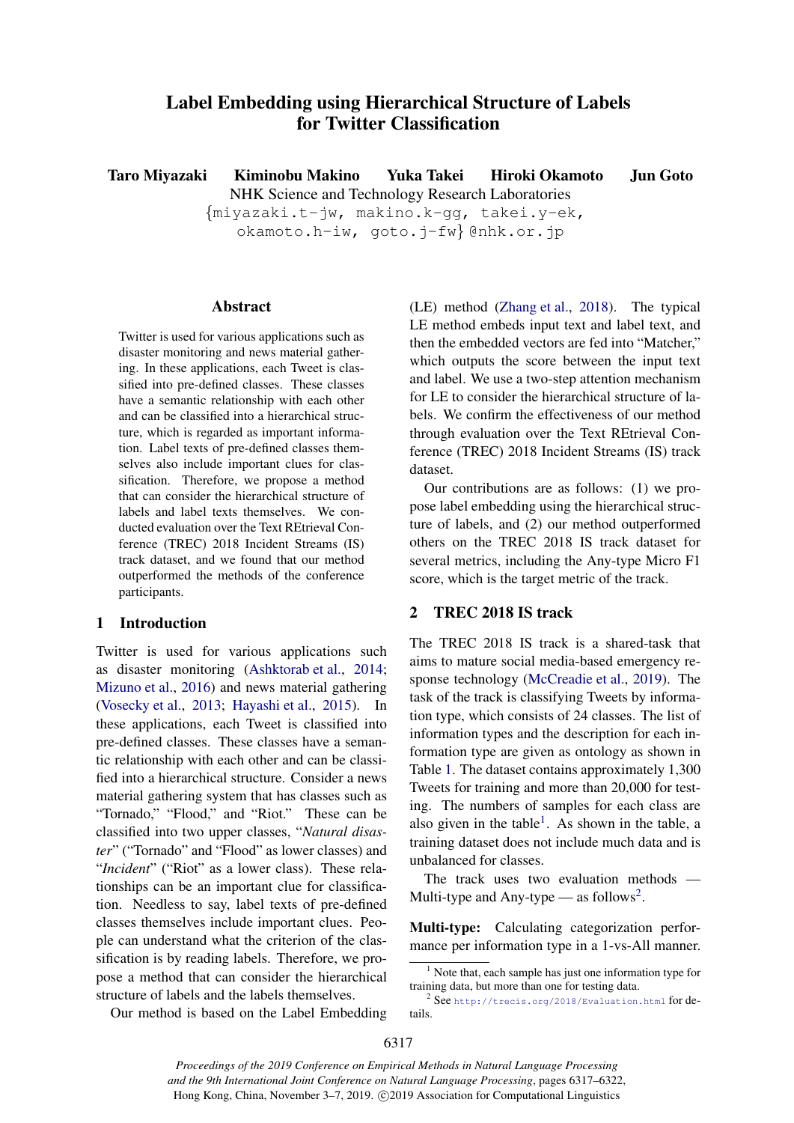# Label Embedding using Hierarchical Structure of Labels for Twitter Classification

Taro Miyazaki Kiminobu Makino Yuka Takei Hiroki Okamoto Jun Goto NHK Science and Technology Research Laboratories

> *{*miyazaki.t-jw, makino.k-gg, takei.y-ek, okamoto.h-iw, goto.j-fw*}* @nhk.or.jp

## Abstract

Twitter is used for various applications such as disaster monitoring and news material gathering. In these applications, each Tweet is classified into pre-defined classes. These classes have a semantic relationship with each other and can be classified into a hierarchical structure, which is regarded as important information. Label texts of pre-defined classes themselves also include important clues for classification. Therefore, we propose a method that can consider the hierarchical structure of labels and label texts themselves. We conducted evaluation over the Text REtrieval Conference (TREC) 2018 Incident Streams (IS) track dataset, and we found that our method outperformed the methods of the conference participants.

# 1 Introduction

Twitter is used for various applications such as disaster monitoring (Ashktorab et al., 2014; Mizuno et al., 2016) and news material gathering (Vosecky et al., 2013; Hayashi et al., 2015). In these applications, each Tweet is classified into pre-defined classes. These classes have a semantic relationship with each other and can be classified into a hierarchical structure. Consider a news material gathering system that has classes such as "Tornado," "Flood," and "Riot." These can be classified into two upper classes, "*Natural disaster*" ("Tornado" and "Flood" as lower classes) and "*Incident*" ("Riot" as a lower class). These relationships can be an important clue for classification. Needless to say, label texts of pre-defined classes themselves include important clues. People can understand what the criterion of the classification is by reading labels. Therefore, we propose a method that can consider the hierarchical structure of labels and the labels themselves.

(LE) method (Zhang et al., 2018). The typical LE method embeds input text and label text, and then the embedded vectors are fed into "Matcher," which outputs the score between the input text and label. We use a two-step attention mechanism for LE to consider the hierarchical structure of labels. We confirm the effectiveness of our method through evaluation over the Text REtrieval Conference (TREC) 2018 Incident Streams (IS) track dataset.

Our contributions are as follows: (1) we propose label embedding using the hierarchical structure of labels, and (2) our method outperformed others on the TREC 2018 IS track dataset for several metrics, including the Any-type Micro F1 score, which is the target metric of the track.

# 2 TREC 2018 IS track

The TREC 2018 IS track is a shared-task that aims to mature social media-based emergency response technology (McCreadie et al., 2019). The task of the track is classifying Tweets by information type, which consists of 24 classes. The list of information types and the description for each information type are given as ontology as shown in Table 1. The dataset contains approximately 1,300 Tweets for training and more than 20,000 for testing. The numbers of samples for each class are also given in the table<sup>1</sup>. As shown in the table, a training dataset does not include much data and is unbalanced for classes.

The track uses two evaluation methods — Multi-type and Any-type — as follows<sup>2</sup>.

Multi-type: Calculating categorization performance per information type in a 1-vs-All manner.

Our method is based on the Label Embedding

 $<sup>1</sup>$  Note that, each sample has just one information type for</sup> training data, but more than one for testing data.

 $2$  See http://trecis.org/2018/Evaluation.html for details.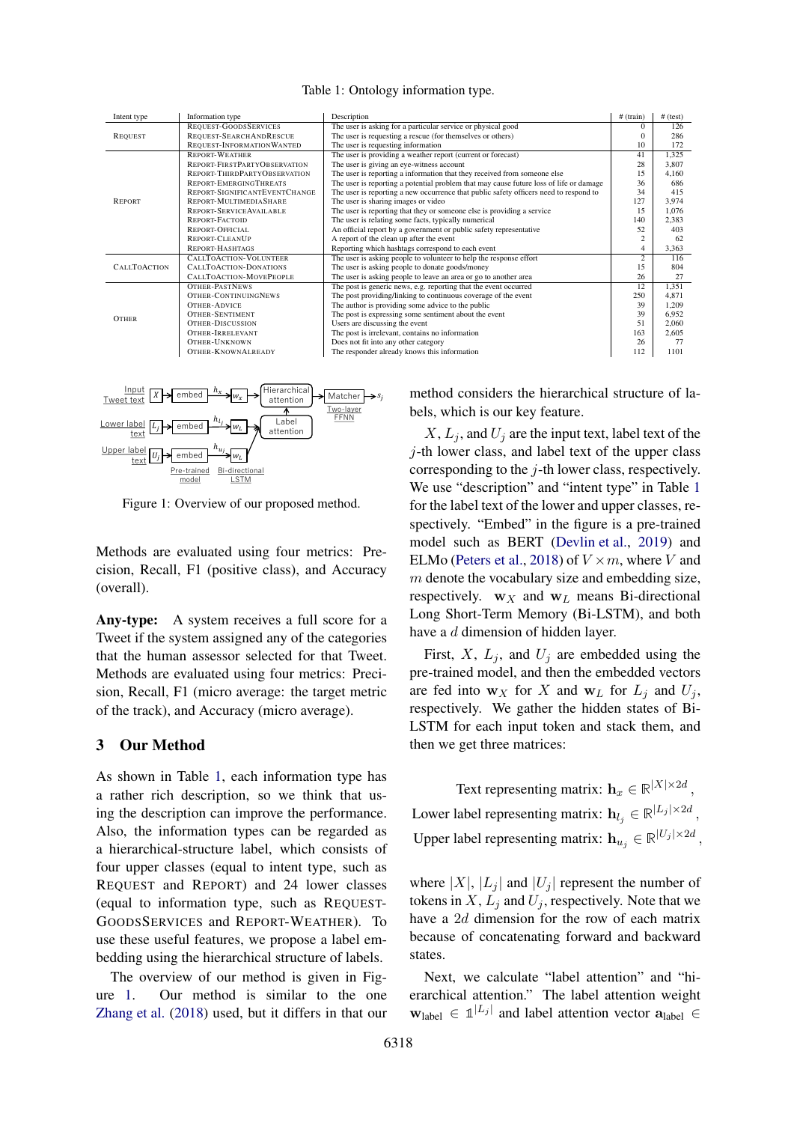| Intent type         | Information type              | Description                                                                            | # (train)      | $#$ (test) |
|---------------------|-------------------------------|----------------------------------------------------------------------------------------|----------------|------------|
| <b>REQUEST</b>      | REQUEST-GOODS SERVICES        | The user is asking for a particular service or physical good                           | 0              | 126        |
|                     | REQUEST-SEARCHANDRESCUE       | The user is requesting a rescue (for themselves or others)                             | 0              | 286        |
|                     | REQUEST-INFORMATION WANTED    | The user is requesting information                                                     | 10             | 172        |
| <b>REPORT</b>       | <b>REPORT-WEATHER</b>         | The user is providing a weather report (current or forecast)                           | 41             | 1,325      |
|                     | REPORT-FIRSTPARTYOBSERVATION  | The user is giving an eye-witness account                                              | 28             | 3,807      |
|                     | REPORT-THIRDPARTYOBSERVATION  | The user is reporting a information that they received from someone else               | 15             | 4.160      |
|                     | REPORT-EMERGINGTHREATS        | The user is reporting a potential problem that may cause future loss of life or damage | 36             | 686        |
|                     | REPORT-SIGNIFICANTEVENTCHANGE | The user is reporting a new occurrence that public safety officers need to respond to  | 34             | 415        |
|                     | REPORT-MULTIMEDIASHARE        | The user is sharing images or video                                                    | 127            | 3.974      |
|                     | REPORT-SERVICE AVAILABLE      | The user is reporting that they or someone else is providing a service                 | 15             | 1,076      |
|                     | <b>REPORT-FACTOID</b>         | The user is relating some facts, typically numerical                                   | 140            | 2,383      |
|                     | <b>REPORT-OFFICIAL</b>        | An official report by a government or public safety representative                     | 52             | 403        |
|                     | <b>REPORT-CLEANUP</b>         | A report of the clean up after the event                                               | 2              | 62         |
|                     | <b>REPORT-HASHTAGS</b>        | Reporting which hashtags correspond to each event                                      | 4              | 3,363      |
| <b>CALLTOACTION</b> | <b>CALLTOACTION-VOLUNTEER</b> | The user is asking people to volunteer to help the response effort                     | $\overline{2}$ | 116        |
|                     | CALLTOACTION-DONATIONS        | The user is asking people to donate goods/money                                        | 15             | 804        |
|                     | CALLTOACTION-MOVEPEOPLE       | The user is asking people to leave an area or go to another area                       | 26             | 27         |
| <b>OTHER</b>        | <b>OTHER-PASTNEWS</b>         | The post is generic news, e.g. reporting that the event occurred                       | 12             | 1,351      |
|                     | <b>OTHER-CONTINUINGNEWS</b>   | The post providing/linking to continuous coverage of the event                         | 250            | 4.871      |
|                     | <b>OTHER-ADVICE</b>           | The author is providing some advice to the public                                      | 39             | 1,209      |
|                     | <b>OTHER-SENTIMENT</b>        | The post is expressing some sentiment about the event                                  | 39             | 6.952      |
|                     | <b>OTHER-DISCUSSION</b>       | Users are discussing the event                                                         | 51             | 2,060      |
|                     | <b>OTHER-IRRELEVANT</b>       | The post is irrelevant, contains no information                                        | 163            | 2,605      |
|                     | <b>OTHER-UNKNOWN</b>          | Does not fit into any other category                                                   | 26             | 77         |
|                     | <b>OTHER-KNOWNALREADY</b>     | The responder already knows this information                                           | 112            | 1101       |
|                     |                               |                                                                                        |                |            |

Table 1: Ontology information type.



Figure 1: Overview of our proposed method.

Methods are evaluated using four metrics: Precision, Recall, F1 (positive class), and Accuracy (overall).

Any-type: A system receives a full score for a Tweet if the system assigned any of the categories that the human assessor selected for that Tweet. Methods are evaluated using four metrics: Precision, Recall, F1 (micro average: the target metric of the track), and Accuracy (micro average).

## 3 Our Method

As shown in Table 1, each information type has a rather rich description, so we think that using the description can improve the performance. Also, the information types can be regarded as a hierarchical-structure label, which consists of four upper classes (equal to intent type, such as REQUEST and REPORT) and 24 lower classes (equal to information type, such as REQUEST-GOODSSERVICES and REPORT-WEATHER). To use these useful features, we propose a label embedding using the hierarchical structure of labels.

The overview of our method is given in Figure 1. Our method is similar to the one Zhang et al. (2018) used, but it differs in that our

method considers the hierarchical structure of labels, which is our key feature.

 $X, L<sub>i</sub>$ , and  $U<sub>j</sub>$  are the input text, label text of the *j*-th lower class, and label text of the upper class corresponding to the *j*-th lower class, respectively. We use "description" and "intent type" in Table 1 for the label text of the lower and upper classes, respectively. "Embed" in the figure is a pre-trained model such as BERT (Devlin et al., 2019) and ELMo (Peters et al., 2018) of  $V \times m$ , where *V* and *m* denote the vocabulary size and embedding size, respectively.  $w_X$  and  $w_L$  means Bi-directional Long Short-Term Memory (Bi-LSTM), and both have a *d* dimension of hidden layer.

First,  $X$ ,  $L_j$ , and  $U_j$  are embedded using the pre-trained model, and then the embedded vectors are fed into  $w_X$  for *X* and  $w_L$  for  $L_i$  and  $U_i$ , respectively. We gather the hidden states of Bi-LSTM for each input token and stack them, and then we get three matrices:

Text representing matrix:  $\mathbf{h}_x \in \mathbb{R}^{|X| \times 2d}$ , Lower label representing matrix:  $\mathbf{h}_{l_j} \in \mathbb{R}^{\vert L_j \vert \times 2d}$ , Upper label representing matrix:  $\mathbf{h}_{u_j} \in \mathbb{R}^{|U_j| \times 2d}$ ,

where  $|X|$ ,  $|L_i|$  and  $|U_i|$  represent the number of tokens in  $X$ ,  $L_i$  and  $U_i$ , respectively. Note that we have a 2*d* dimension for the row of each matrix because of concatenating forward and backward states.

Next, we calculate "label attention" and "hierarchical attention." The label attention weight  $\mathbf{w}_{\text{label}} \in \mathbb{1}^{|L_j|}$  and label attention vector  $\mathbf{a}_{\text{label}} \in$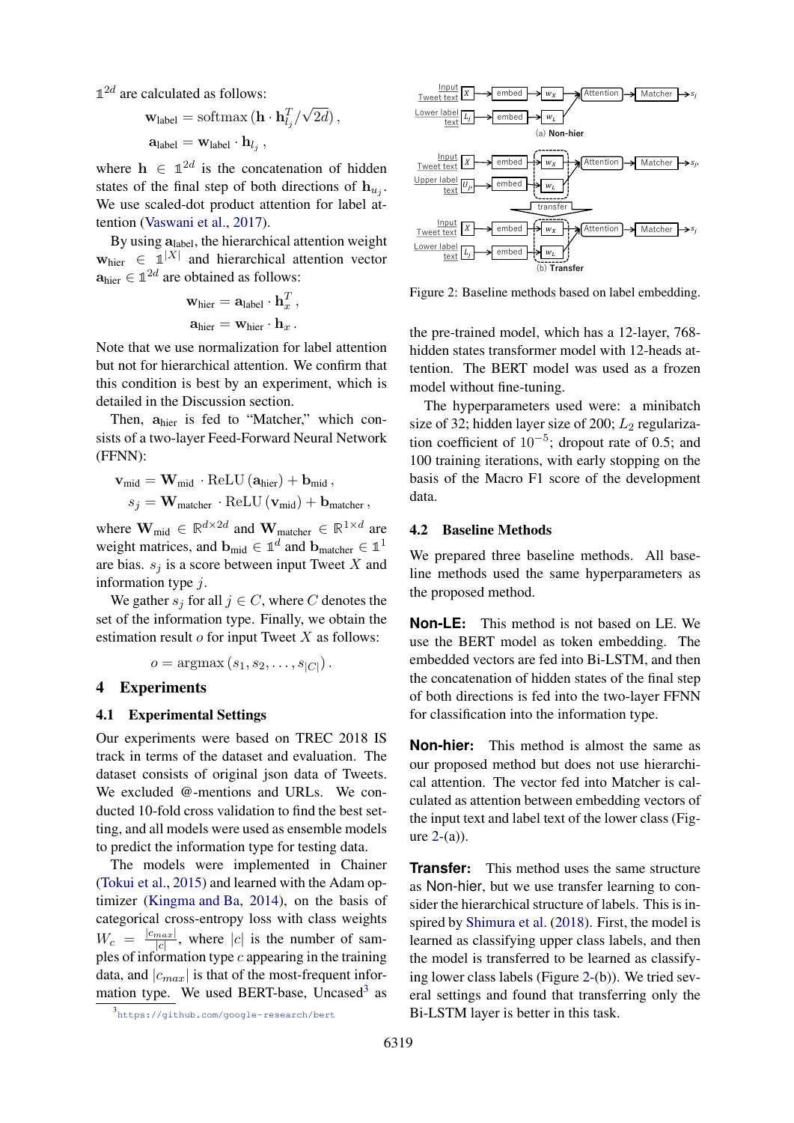$1<sup>2d</sup>$  are calculated as follows:

$$
\mathbf{w}_{\text{label}} = \text{softmax} (\mathbf{h} \cdot \mathbf{h}_{l_j}^T / \sqrt{2d}),
$$

$$
\mathbf{a}_{\text{label}} = \mathbf{w}_{\text{label}} \cdot \mathbf{h}_{l_j},
$$

where  $h \in \mathbb{1}^{2d}$  is the concatenation of hidden states of the final step of both directions of  $h_{u_j}$ . We use scaled-dot product attention for label attention (Vaswani et al., 2017).

By using **a**label, the hierarchical attention weight  $\mathbf{w}_{\text{hier}} \in \mathbb{1}^{|X|}$  and hierarchical attention vector  $\mathbf{a}_{\text{hier}} \in \mathbb{1}^{2d}$  are obtained as follows:

$$
\mathbf{w}_{\text{hier}} = \mathbf{a}_{\text{label}} \cdot \mathbf{h}_x^T ,
$$

$$
\mathbf{a}_{\text{hier}} = \mathbf{w}_{\text{hier}} \cdot \mathbf{h}_x .
$$

Note that we use normalization for label attention but not for hierarchical attention. We confirm that this condition is best by an experiment, which is detailed in the Discussion section.

Then, **a**hier is fed to "Matcher," which consists of a two-layer Feed-Forward Neural Network (FFNN):

$$
\begin{aligned} \mathbf{v}_{\text{mid}} &= \mathbf{W}_{\text{mid}} \cdot \operatorname{ReLU}\left(\mathbf{a}_{\text{hier}}\right) + \mathbf{b}_{\text{mid}} \,, \\ s_{j} &= \mathbf{W}_{\text{matcher}} \cdot \operatorname{ReLU}\left(\mathbf{v}_{\text{mid}}\right) + \mathbf{b}_{\text{matcher}} \,, \end{aligned}
$$

where  $\mathbf{W}_{mid} \in \mathbb{R}^{d \times 2d}$  and  $\mathbf{W}_{matcher} \in \mathbb{R}^{1 \times d}$  are weight matrices, and  $\mathbf{b}_{mid} \in \mathbb{1}^d$  and  $\mathbf{b}_{matcher} \in \mathbb{1}^1$ are bias. *s<sup>j</sup>* is a score between input Tweet *X* and information type *j*.

We gather  $s_j$  for all  $j \in C$ , where C denotes the set of the information type. Finally, we obtain the estimation result *o* for input Tweet *X* as follows:

$$
o = \operatorname{argmax}\left(s_1, s_2, \ldots, s_{|C|}\right).
$$

## 4 Experiments

#### 4.1 Experimental Settings

Our experiments were based on TREC 2018 IS track in terms of the dataset and evaluation. The dataset consists of original json data of Tweets. We excluded @-mentions and URLs. We conducted 10-fold cross validation to find the best setting, and all models were used as ensemble models to predict the information type for testing data.

The models were implemented in Chainer (Tokui et al., 2015) and learned with the Adam optimizer (Kingma and Ba, 2014), on the basis of categorical cross-entropy loss with class weights  $W_c = \frac{|c_{max}|}{|c|}$  $\frac{max}{|c|}$ , where  $|c|$  is the number of samples of information type *c* appearing in the training data, and  $|c_{max}|$  is that of the most-frequent information type. We used BERT-base, Uncased<sup>3</sup> as



Figure 2: Baseline methods based on label embedding.

the pre-trained model, which has a 12-layer, 768 hidden states transformer model with 12-heads attention. The BERT model was used as a frozen model without fine-tuning.

The hyperparameters used were: a minibatch size of 32; hidden layer size of 200; *L*<sub>2</sub> regularization coefficient of 10*−*<sup>5</sup> ; dropout rate of 0.5; and 100 training iterations, with early stopping on the basis of the Macro F1 score of the development data.

#### 4.2 Baseline Methods

We prepared three baseline methods. All baseline methods used the same hyperparameters as the proposed method.

**Non-LE**: This method is not based on LE. We use the BERT model as token embedding. The embedded vectors are fed into Bi-LSTM, and then the concatenation of hidden states of the final step of both directions is fed into the two-layer FFNN for classification into the information type.

**Non-hier**: This method is almost the same as our proposed method but does not use hierarchical attention. The vector fed into Matcher is calculated as attention between embedding vectors of the input text and label text of the lower class (Figure  $2-(a)$ ).

**Transfer:** This method uses the same structure as Non-hier, but we use transfer learning to consider the hierarchical structure of labels. This is inspired by Shimura et al. (2018). First, the model is learned as classifying upper class labels, and then the model is transferred to be learned as classifying lower class labels (Figure 2-(b)). We tried several settings and found that transferring only the Bi-LSTM layer is better in this task.

<sup>3</sup> https://github.com/google-research/bert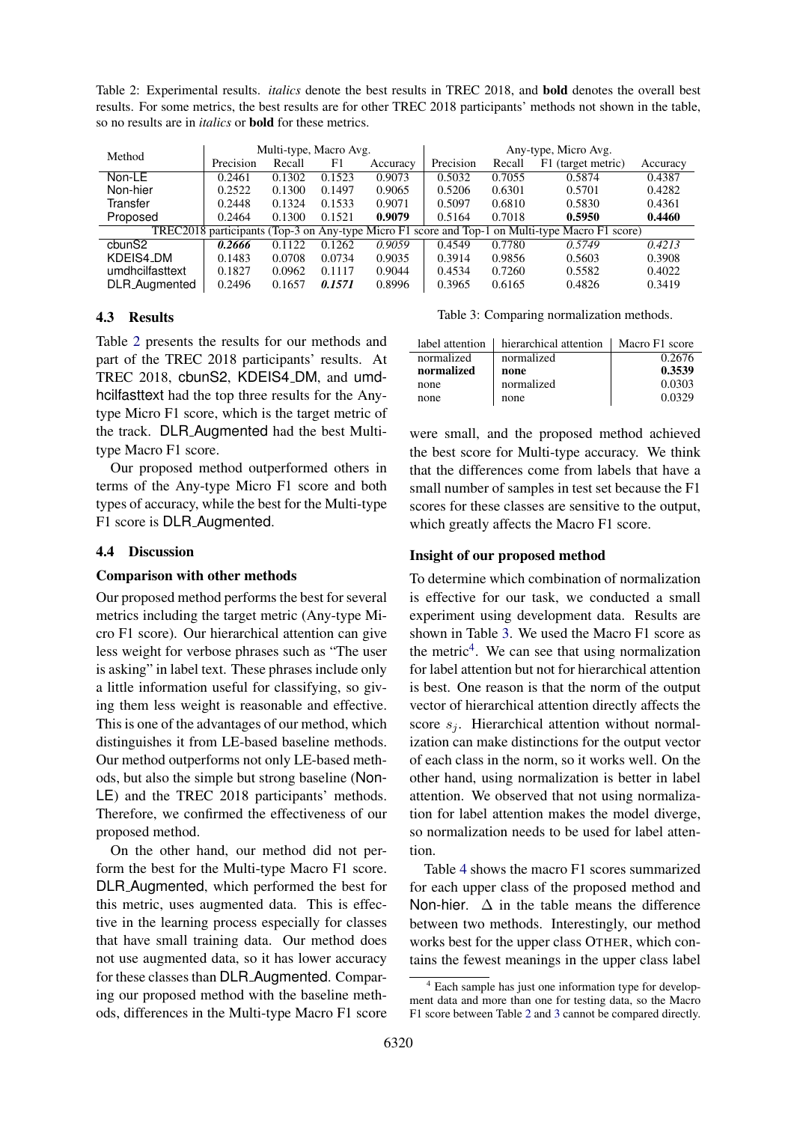Table 2: Experimental results. *italics* denote the best results in TREC 2018, and bold denotes the overall best results. For some metrics, the best results are for other TREC 2018 participants' methods not shown in the table, so no results are in *italics* or bold for these metrics.

| Method                                                                                          | Multi-type, Macro Avg. |        |        | Any-type, Micro Avg. |           |        |                    |          |
|-------------------------------------------------------------------------------------------------|------------------------|--------|--------|----------------------|-----------|--------|--------------------|----------|
|                                                                                                 | Precision              | Recall | F1     | Accuracy             | Precision | Recall | F1 (target metric) | Accuracy |
| Non-LE                                                                                          | 0.2461                 | 0.1302 | 0.1523 | 0.9073               | 0.5032    | 0.7055 | 0.5874             | 0.4387   |
| Non-hier                                                                                        | 0.2522                 | 0.1300 | 0.1497 | 0.9065               | 0.5206    | 0.6301 | 0.5701             | 0.4282   |
| Transfer                                                                                        | 0.2448                 | 0.1324 | 0.1533 | 0.9071               | 0.5097    | 0.6810 | 0.5830             | 0.4361   |
| Proposed                                                                                        | 0.2464                 | 0.1300 | 0.1521 | 0.9079               | 0.5164    | 0.7018 | 0.5950             | 0.4460   |
| TREC2018 participants (Top-3 on Any-type Micro F1 score and Top-1 on Multi-type Macro F1 score) |                        |        |        |                      |           |        |                    |          |
| cbun <sub>S2</sub>                                                                              | 0.2666                 | 0.1122 | 0.1262 | 0.9059               | 0.4549    | 0.7780 | 0.5749             | 0.4213   |
| KDEIS4_DM                                                                                       | 0.1483                 | 0.0708 | 0.0734 | 0.9035               | 0.3914    | 0.9856 | 0.5603             | 0.3908   |
| umdhcilfasttext                                                                                 | 0.1827                 | 0.0962 | 0.1117 | 0.9044               | 0.4534    | 0.7260 | 0.5582             | 0.4022   |
| DLR_Augmented                                                                                   | 0.2496                 | 0.1657 | 0.1571 | 0.8996               | 0.3965    | 0.6165 | 0.4826             | 0.3419   |

## 4.3 Results

Table 2 presents the results for our methods and part of the TREC 2018 participants' results. At TREC 2018, cbunS2, KDEIS4 DM, and umdhcilfasttext had the top three results for the Anytype Micro F1 score, which is the target metric of the track. DLR Augmented had the best Multitype Macro F1 score.

Our proposed method outperformed others in terms of the Any-type Micro F1 score and both types of accuracy, while the best for the Multi-type F1 score is DLR Augmented.

### 4.4 Discussion

#### Comparison with other methods

Our proposed method performs the best for several metrics including the target metric (Any-type Micro F1 score). Our hierarchical attention can give less weight for verbose phrases such as "The user is asking" in label text. These phrases include only a little information useful for classifying, so giving them less weight is reasonable and effective. This is one of the advantages of our method, which distinguishes it from LE-based baseline methods. Our method outperforms not only LE-based methods, but also the simple but strong baseline (Non-LE) and the TREC 2018 participants' methods. Therefore, we confirmed the effectiveness of our proposed method.

On the other hand, our method did not perform the best for the Multi-type Macro F1 score. DLR Augmented, which performed the best for this metric, uses augmented data. This is effective in the learning process especially for classes that have small training data. Our method does not use augmented data, so it has lower accuracy for these classes than DLR Augmented. Comparing our proposed method with the baseline methods, differences in the Multi-type Macro F1 score

Table 3: Comparing normalization methods.

| label attention | hierarchical attention | Macro F1 score |
|-----------------|------------------------|----------------|
| normalized      | normalized             | 0.2676         |
| normalized      | none                   | 0.3539         |
| none            | normalized             | 0.0303         |
| none            | none                   | 0.0329         |

were small, and the proposed method achieved the best score for Multi-type accuracy. We think that the differences come from labels that have a small number of samples in test set because the F1 scores for these classes are sensitive to the output, which greatly affects the Macro F1 score.

#### Insight of our proposed method

To determine which combination of normalization is effective for our task, we conducted a small experiment using development data. Results are shown in Table 3. We used the Macro F1 score as the metric $4$ . We can see that using normalization for label attention but not for hierarchical attention is best. One reason is that the norm of the output vector of hierarchical attention directly affects the score  $s_i$ . Hierarchical attention without normalization can make distinctions for the output vector of each class in the norm, so it works well. On the other hand, using normalization is better in label attention. We observed that not using normalization for label attention makes the model diverge, so normalization needs to be used for label attention.

Table 4 shows the macro F1 scores summarized for each upper class of the proposed method and Non-hier.  $\Delta$  in the table means the difference between two methods. Interestingly, our method works best for the upper class OTHER, which contains the fewest meanings in the upper class label

<sup>4</sup> Each sample has just one information type for development data and more than one for testing data, so the Macro F1 score between Table 2 and 3 cannot be compared directly.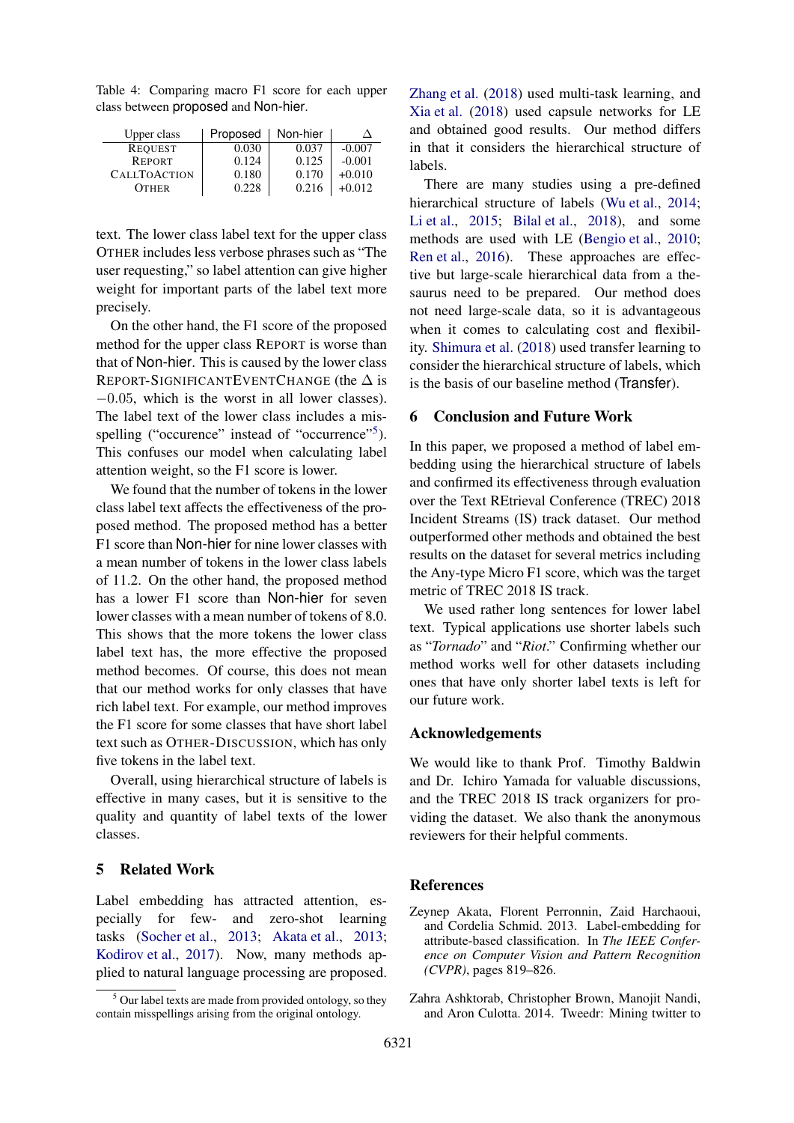Table 4: Comparing macro F1 score for each upper class between proposed and Non-hier.

| Upper class         | Proposed | Non-hier |          |
|---------------------|----------|----------|----------|
| <b>REQUEST</b>      | 0.030    | 0.037    | $-0.007$ |
| <b>REPORT</b>       | 0.124    | 0.125    | $-0.001$ |
| <b>CALLTOACTION</b> | 0.180    | 0.170    | $+0.010$ |
| <b>OTHER</b>        | 0.228    | 0.216    | $+0.012$ |

text. The lower class label text for the upper class OTHER includes less verbose phrases such as "The user requesting," so label attention can give higher weight for important parts of the label text more precisely.

On the other hand, the F1 score of the proposed method for the upper class REPORT is worse than that of Non-hier. This is caused by the lower class REPORT-SIGNIFICANTEVENTCHANGE (the  $\Delta$  is *−*0*.*05, which is the worst in all lower classes). The label text of the lower class includes a misspelling ("occurence" instead of "occurrence"<sup>5</sup>). This confuses our model when calculating label attention weight, so the F1 score is lower.

We found that the number of tokens in the lower class label text affects the effectiveness of the proposed method. The proposed method has a better F1 score than Non-hier for nine lower classes with a mean number of tokens in the lower class labels of 11.2. On the other hand, the proposed method has a lower F1 score than Non-hier for seven lower classes with a mean number of tokens of 8.0. This shows that the more tokens the lower class label text has, the more effective the proposed method becomes. Of course, this does not mean that our method works for only classes that have rich label text. For example, our method improves the F1 score for some classes that have short label text such as OTHER-DISCUSSION, which has only five tokens in the label text.

Overall, using hierarchical structure of labels is effective in many cases, but it is sensitive to the quality and quantity of label texts of the lower classes.

## 5 Related Work

Label embedding has attracted attention, especially for few- and zero-shot learning tasks (Socher et al., 2013; Akata et al., 2013; Kodirov et al., 2017). Now, many methods applied to natural language processing are proposed. Zhang et al. (2018) used multi-task learning, and Xia et al. (2018) used capsule networks for LE and obtained good results. Our method differs in that it considers the hierarchical structure of labels.

There are many studies using a pre-defined hierarchical structure of labels (Wu et al., 2014; Li et al., 2015; Bilal et al., 2018), and some methods are used with LE (Bengio et al., 2010; Ren et al., 2016). These approaches are effective but large-scale hierarchical data from a thesaurus need to be prepared. Our method does not need large-scale data, so it is advantageous when it comes to calculating cost and flexibility. Shimura et al. (2018) used transfer learning to consider the hierarchical structure of labels, which is the basis of our baseline method (Transfer).

## 6 Conclusion and Future Work

In this paper, we proposed a method of label embedding using the hierarchical structure of labels and confirmed its effectiveness through evaluation over the Text REtrieval Conference (TREC) 2018 Incident Streams (IS) track dataset. Our method outperformed other methods and obtained the best results on the dataset for several metrics including the Any-type Micro F1 score, which was the target metric of TREC 2018 IS track.

We used rather long sentences for lower label text. Typical applications use shorter labels such as "*Tornado*" and "*Riot*." Confirming whether our method works well for other datasets including ones that have only shorter label texts is left for our future work.

## Acknowledgements

We would like to thank Prof. Timothy Baldwin and Dr. Ichiro Yamada for valuable discussions, and the TREC 2018 IS track organizers for providing the dataset. We also thank the anonymous reviewers for their helpful comments.

## **References**

- Zeynep Akata, Florent Perronnin, Zaid Harchaoui, and Cordelia Schmid. 2013. Label-embedding for attribute-based classification. In *The IEEE Conference on Computer Vision and Pattern Recognition (CVPR)*, pages 819–826.
- Zahra Ashktorab, Christopher Brown, Manojit Nandi, and Aron Culotta. 2014. Tweedr: Mining twitter to

 $<sup>5</sup>$  Our label texts are made from provided ontology, so they</sup> contain misspellings arising from the original ontology.